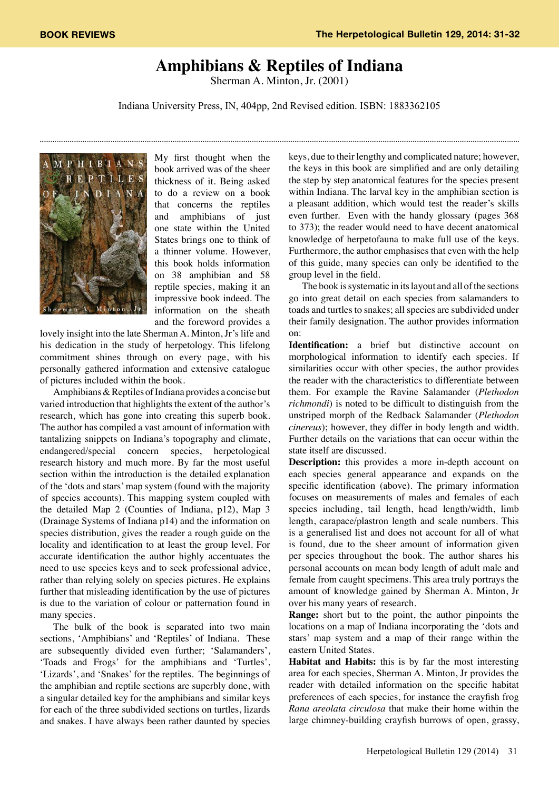## **Amphibians & Reptiles of Indiana**

Sherman A. Minton, Jr. (2001)

Indiana University Press, IN, 404pp, 2nd Revised edition. ISBN: 1883362105



My first thought when the book arrived was of the sheer thickness of it. Being asked to do a review on a book that concerns the reptiles and amphibians of just one state within the United States brings one to think of a thinner volume. However, this book holds information on 38 amphibian and 58 reptile species, making it an impressive book indeed. The information on the sheath and the foreword provides a

lovely insight into the late Sherman A. Minton, Jr's life and his dedication in the study of herpetology. This lifelong commitment shines through on every page, with his personally gathered information and extensive catalogue of pictures included within the book.

Amphibians & Reptiles of Indiana provides a concise but varied introduction that highlights the extent of the author's research, which has gone into creating this superb book. The author has compiled a vast amount of information with tantalizing snippets on Indiana's topography and climate, endangered/special concern species, herpetological research history and much more. By far the most useful section within the introduction is the detailed explanation of the 'dots and stars' map system (found with the majority of species accounts). This mapping system coupled with the detailed Map 2 (Counties of Indiana, p12), Map 3 (Drainage Systems of Indiana p14) and the information on species distribution, gives the reader a rough guide on the locality and identification to at least the group level. For accurate identification the author highly accentuates the need to use species keys and to seek professional advice, rather than relying solely on species pictures. He explains further that misleading identification by the use of pictures is due to the variation of colour or patternation found in many species.

The bulk of the book is separated into two main sections, 'Amphibians' and 'Reptiles' of Indiana. These are subsequently divided even further; 'Salamanders', 'Toads and Frogs' for the amphibians and 'Turtles', 'Lizards', and 'Snakes' for the reptiles. The beginnings of the amphibian and reptile sections are superbly done, with a singular detailed key for the amphibians and similar keys for each of the three subdivided sections on turtles, lizards and snakes. I have always been rather daunted by species

keys, due to their lengthy and complicated nature; however, the keys in this book are simplified and are only detailing the step by step anatomical features for the species present within Indiana. The larval key in the amphibian section is a pleasant addition, which would test the reader's skills even further. Even with the handy glossary (pages 368 to 373); the reader would need to have decent anatomical knowledge of herpetofauna to make full use of the keys. Furthermore, the author emphasises that even with the help of this guide, many species can only be identified to the group level in the field.

The book is systematic in its layout and all of the sections go into great detail on each species from salamanders to toads and turtles to snakes; all species are subdivided under their family designation. The author provides information on:

**Identification:** a brief but distinctive account on morphological information to identify each species. If similarities occur with other species, the author provides the reader with the characteristics to differentiate between them. For example the Ravine Salamander (*Plethodon richmondi*) is noted to be difficult to distinguish from the unstriped morph of the Redback Salamander (*Plethodon cinereus*); however, they differ in body length and width. Further details on the variations that can occur within the state itself are discussed.

**Description:** this provides a more in-depth account on each species general appearance and expands on the specific identification (above). The primary information focuses on measurements of males and females of each species including, tail length, head length/width, limb length, carapace/plastron length and scale numbers. This is a generalised list and does not account for all of what is found, due to the sheer amount of information given per species throughout the book. The author shares his personal accounts on mean body length of adult male and female from caught specimens. This area truly portrays the amount of knowledge gained by Sherman A. Minton, Jr over his many years of research.

**Range:** short but to the point, the author pinpoints the locations on a map of Indiana incorporating the 'dots and stars' map system and a map of their range within the eastern United States.

**Habitat and Habits:** this is by far the most interesting area for each species, Sherman A. Minton, Jr provides the reader with detailed information on the specific habitat preferences of each species, for instance the crayfish frog *Rana areolata circulosa* that make their home within the large chimney-building crayfish burrows of open, grassy,